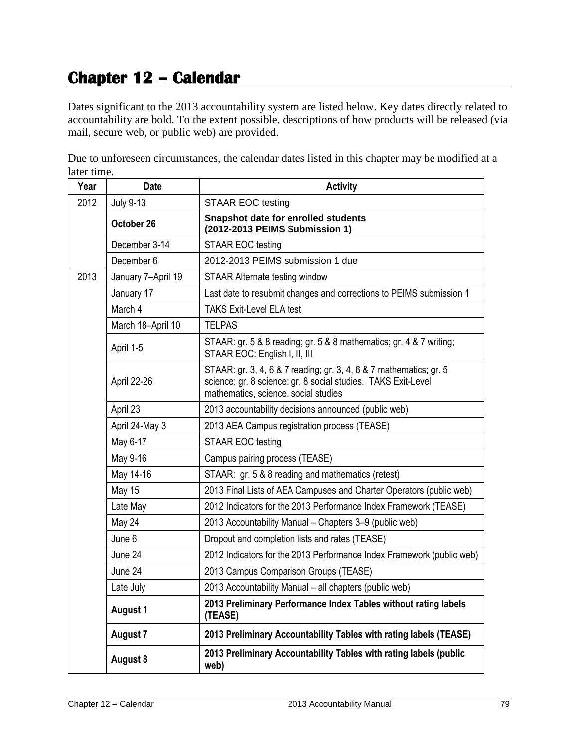## **Chapter 12 – Calendar**

Dates significant to the 2013 accountability system are listed below. Key dates directly related to accountability are bold. To the extent possible, descriptions of how products will be released (via mail, secure web, or public web) are provided.

Due to unforeseen circumstances, the calendar dates listed in this chapter may be modified at a later time.

| Year | <b>Date</b>        | <b>Activity</b>                                                                                                                                                             |
|------|--------------------|-----------------------------------------------------------------------------------------------------------------------------------------------------------------------------|
| 2012 | <b>July 9-13</b>   | <b>STAAR EOC testing</b>                                                                                                                                                    |
|      | October 26         | <b>Snapshot date for enrolled students</b><br>(2012-2013 PEIMS Submission 1)                                                                                                |
|      | December 3-14      | STAAR EOC testing                                                                                                                                                           |
|      | December 6         | 2012-2013 PEIMS submission 1 due                                                                                                                                            |
| 2013 | January 7-April 19 | STAAR Alternate testing window                                                                                                                                              |
|      | January 17         | Last date to resubmit changes and corrections to PEIMS submission 1                                                                                                         |
|      | March 4            | <b>TAKS Exit-Level ELA test</b>                                                                                                                                             |
|      | March 18-April 10  | <b>TELPAS</b>                                                                                                                                                               |
|      | April 1-5          | STAAR: gr. 5 & 8 reading; gr. 5 & 8 mathematics; gr. 4 & 7 writing;<br>STAAR EOC: English I, II, III                                                                        |
|      | April 22-26        | STAAR: gr. 3, 4, 6 & 7 reading; gr. 3, 4, 6 & 7 mathematics; gr. 5<br>science; gr. 8 science; gr. 8 social studies. TAKS Exit-Level<br>mathematics, science, social studies |
|      | April 23           | 2013 accountability decisions announced (public web)                                                                                                                        |
|      | April 24-May 3     | 2013 AEA Campus registration process (TEASE)                                                                                                                                |
|      | May 6-17           | STAAR EOC testing                                                                                                                                                           |
|      | May 9-16           | Campus pairing process (TEASE)                                                                                                                                              |
|      | May 14-16          | STAAR: gr. 5 & 8 reading and mathematics (retest)                                                                                                                           |
|      | May 15             | 2013 Final Lists of AEA Campuses and Charter Operators (public web)                                                                                                         |
|      | Late May           | 2012 Indicators for the 2013 Performance Index Framework (TEASE)                                                                                                            |
|      | May 24             | 2013 Accountability Manual - Chapters 3-9 (public web)                                                                                                                      |
|      | June 6             | Dropout and completion lists and rates (TEASE)                                                                                                                              |
|      | June 24            | 2012 Indicators for the 2013 Performance Index Framework (public web)                                                                                                       |
|      | June 24            | 2013 Campus Comparison Groups (TEASE)                                                                                                                                       |
|      | Late July          | 2013 Accountability Manual - all chapters (public web)                                                                                                                      |
|      | <b>August 1</b>    | 2013 Preliminary Performance Index Tables without rating labels<br>(TEASE)                                                                                                  |
|      | <b>August 7</b>    | 2013 Preliminary Accountability Tables with rating labels (TEASE)                                                                                                           |
|      | <b>August 8</b>    | 2013 Preliminary Accountability Tables with rating labels (public<br>web)                                                                                                   |